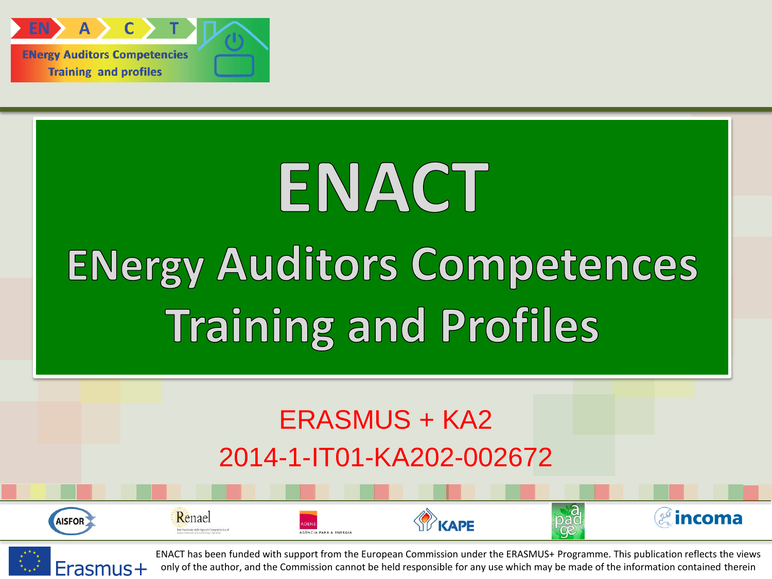

## ENACT **ENergy Auditors Competences Training and Profiles**

## ERASMUS + KA2 2014-1-IT01-KA202-002672





Renael

ENACT has been funded with support from the European Commission under the ERASMUS+ Programme. This publication reflects the views only of the author, and the Commission cannot be held responsible for any use which may be made of the information contained therein

KAPF

*a*incoma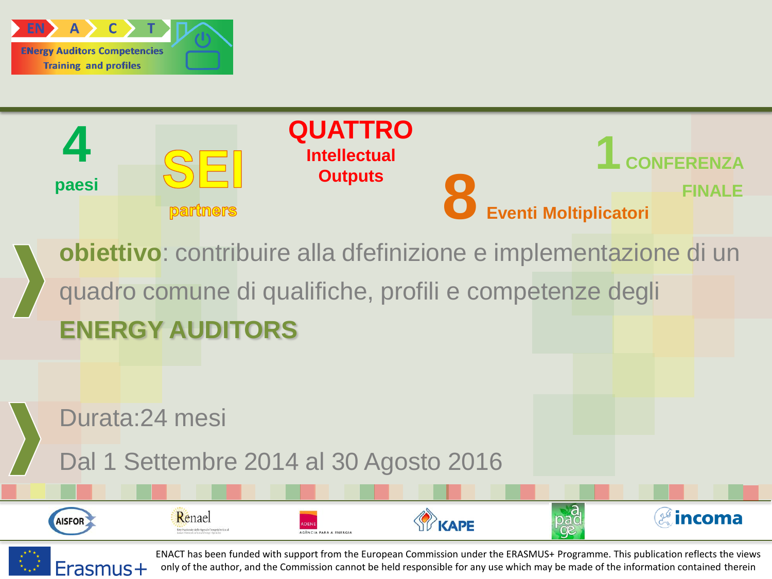

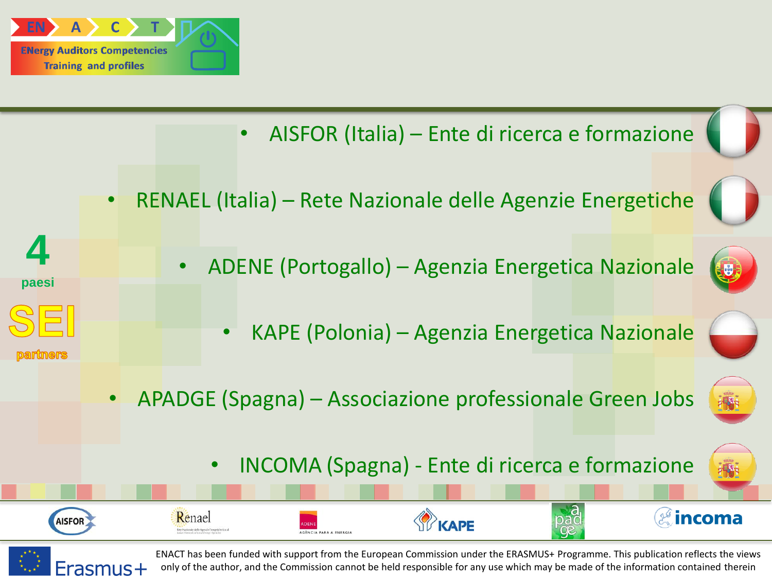

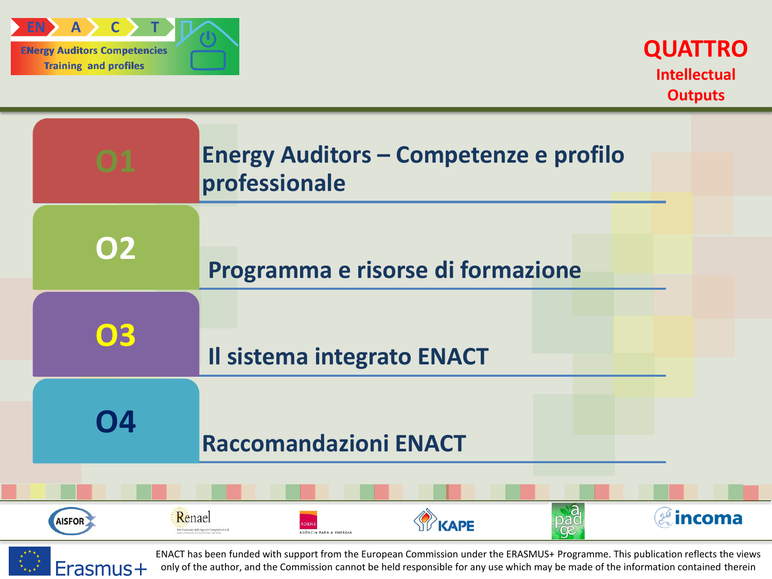

|                                                 | <b>Energy Auditors - Competenze e profilo</b><br>professionale |
|-------------------------------------------------|----------------------------------------------------------------|
| <b>O2</b>                                       | Programma e risorse di formazione                              |
| 03                                              | Il sistema integrato ENACT                                     |
| 04                                              | <b>Raccomandazioni ENACT</b>                                   |
| Renael<br>incoma<br><b>AISFOR</b><br><b>APF</b> |                                                                |

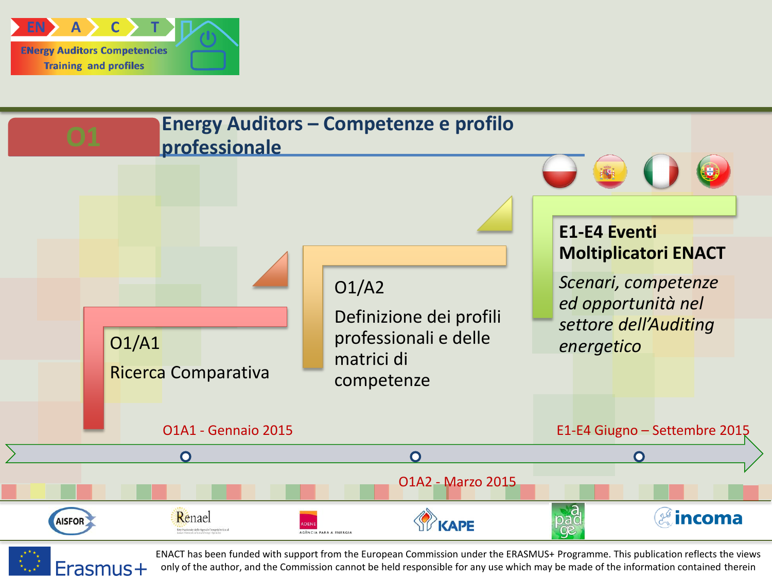



Erasmus+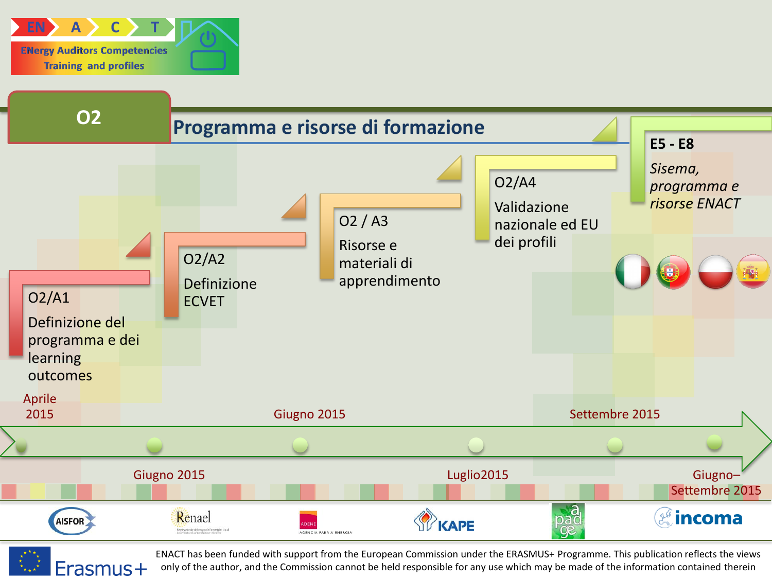

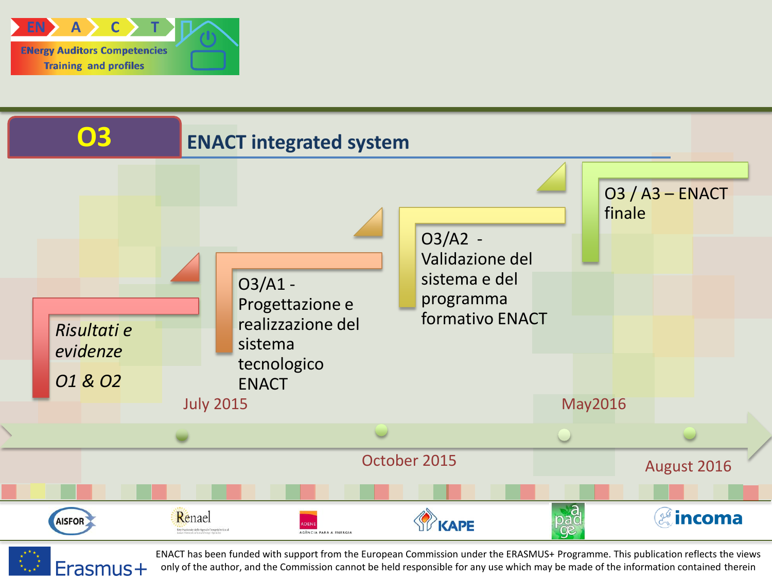



Erasmus+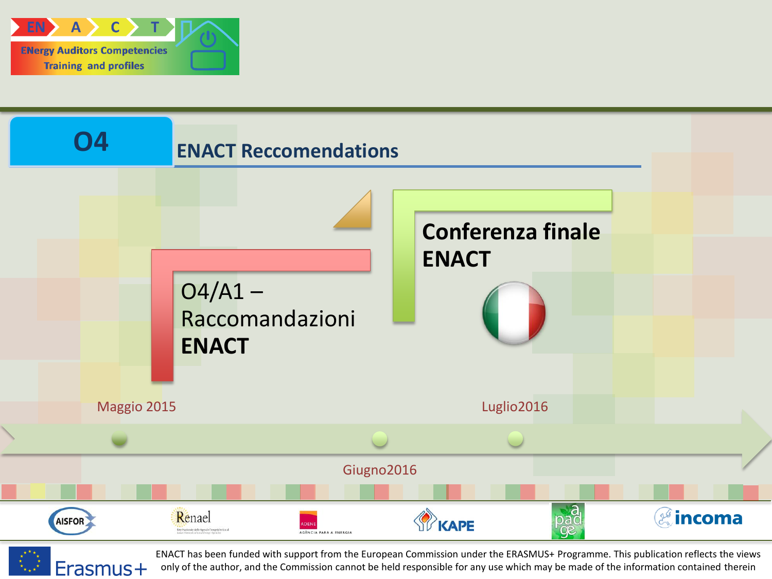

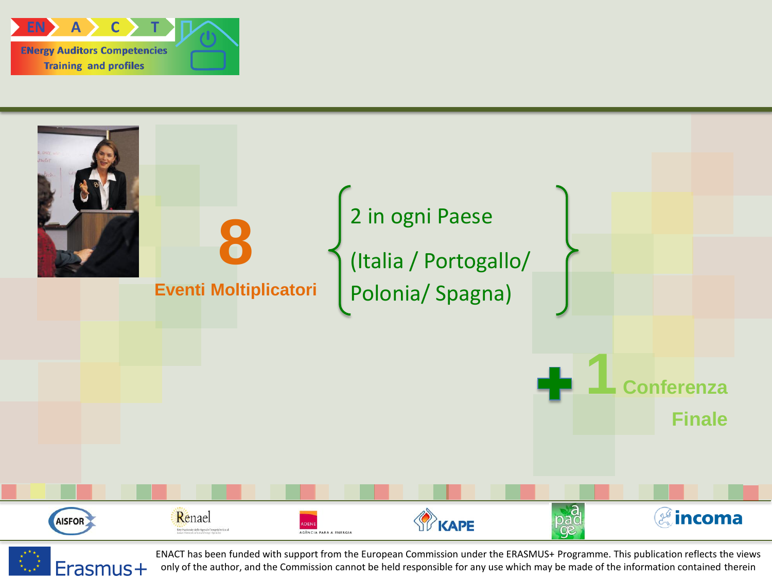



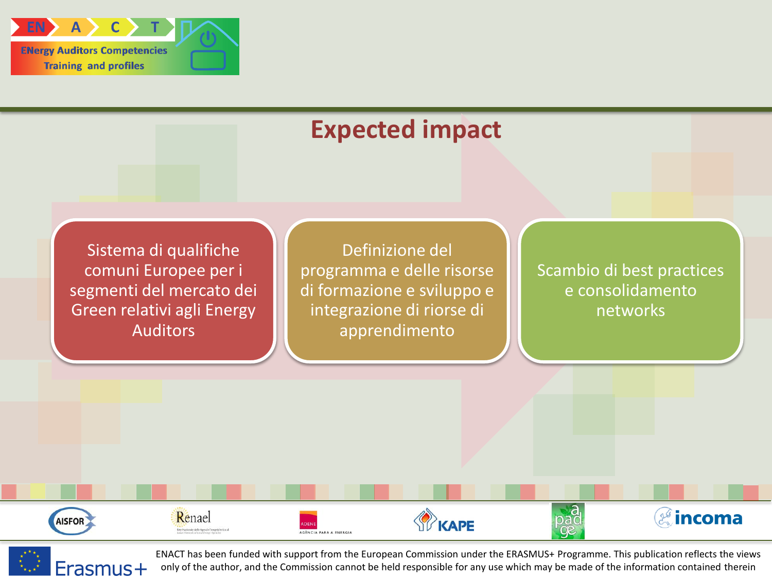